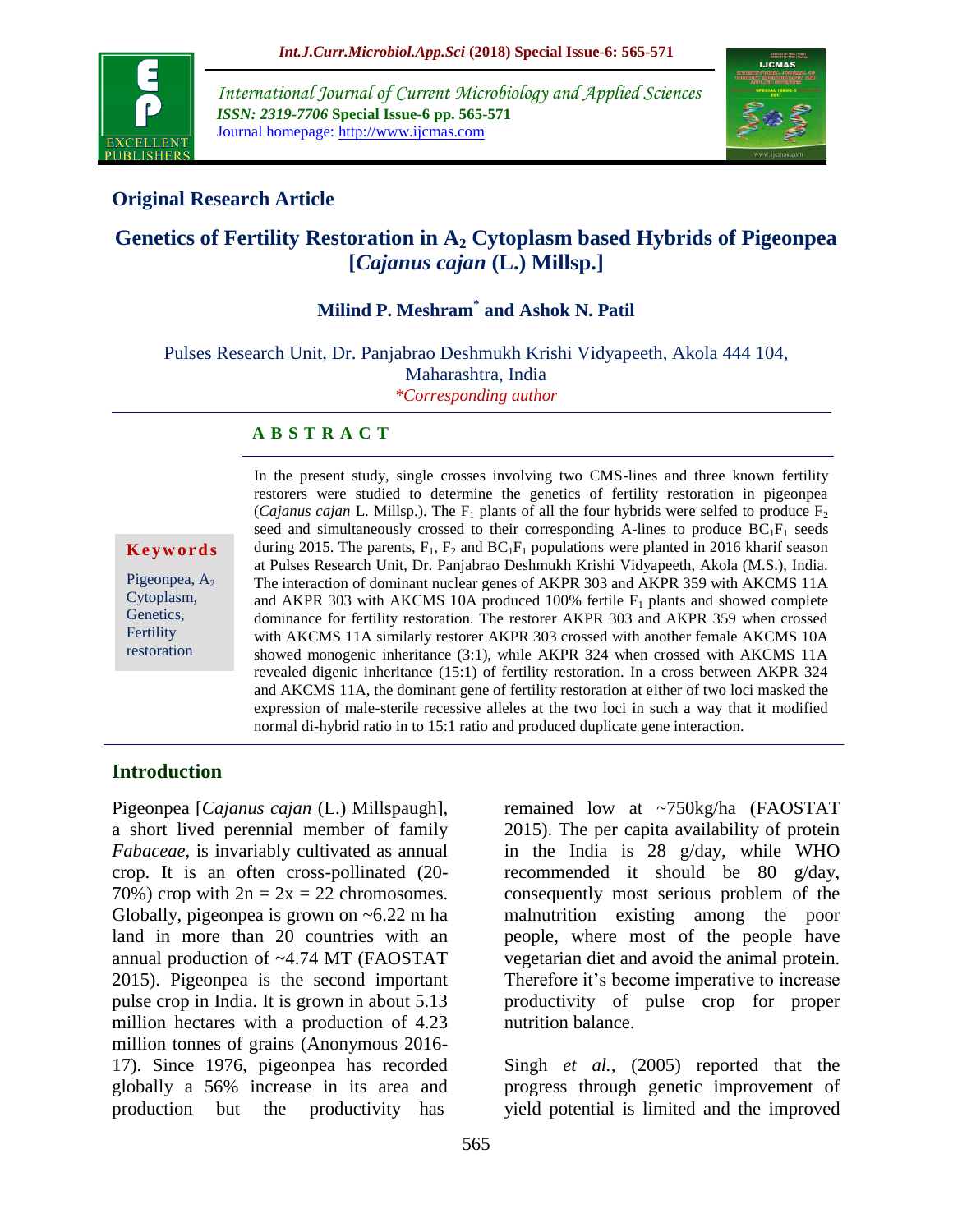

*International Journal of Current Microbiology and Applied Sciences ISSN: 2319-7706* **Special Issue-6 pp. 565-571** Journal homepage: http://www.ijcmas.com



# **Original Research Article**

# **Genetics of Fertility Restoration in A<sup>2</sup> Cytoplasm based Hybrids of Pigeonpea [***Cajanus cajan* **(L.) Millsp.]**

# **Milind P. Meshram\* and Ashok N. Patil**

Pulses Research Unit, Dr. Panjabrao Deshmukh Krishi Vidyapeeth, Akola 444 104, Maharashtra, India *\*Corresponding author*

#### **A B S T R A C T**

**K e y w o r d s**

Pigeonpea,  $A_2$ Cytoplasm, Genetics, Fertility restoration

In the present study, single crosses involving two CMS-lines and three known fertility restorers were studied to determine the genetics of fertility restoration in pigeonpea (*Cajanus cajan* L. Millsp.). The  $F_1$  plants of all the four hybrids were selfed to produce  $F_2$ seed and simultaneously crossed to their corresponding A-lines to produce  $BC_1F_1$  seeds during 2015. The parents,  $F_1$ ,  $F_2$  and  $BC_1F_1$  populations were planted in 2016 kharif season at Pulses Research Unit, Dr. Panjabrao Deshmukh Krishi Vidyapeeth, Akola (M.S.), India. The interaction of dominant nuclear genes of AKPR 303 and AKPR 359 with AKCMS 11A and AKPR 303 with AKCMS 10A produced 100% fertile  $F_1$  plants and showed complete dominance for fertility restoration. The restorer AKPR 303 and AKPR 359 when crossed with AKCMS 11A similarly restorer AKPR 303 crossed with another female AKCMS 10A showed monogenic inheritance (3:1), while AKPR 324 when crossed with AKCMS 11A revealed digenic inheritance (15:1) of fertility restoration. In a cross between AKPR 324 and AKCMS 11A, the dominant gene of fertility restoration at either of two loci masked the expression of male-sterile recessive alleles at the two loci in such a way that it modified normal di-hybrid ratio in to 15:1 ratio and produced duplicate gene interaction.

## **Introduction**

Pigeonpea [*Cajanus cajan* (L.) Millspaugh], a short lived perennial member of family *Fabaceae,* is invariably cultivated as annual crop. It is an often cross-pollinated (20- 70%) crop with  $2n = 2x = 22$  chromosomes. Globally, pigeonpea is grown on ~6.22 m ha land in more than 20 countries with an annual production of ~4.74 MT (FAOSTAT 2015). Pigeonpea is the second important pulse crop in India. It is grown in about 5.13 million hectares with a production of 4.23 million tonnes of grains (Anonymous 2016- 17). Since 1976, pigeonpea has recorded globally a 56% increase in its area and production but the productivity has

2015). The per capita availability of protein in the India is 28 g/day, while WHO recommended it should be 80 g/day, consequently most serious problem of the malnutrition existing among the poor people, where most of the people have vegetarian diet and avoid the animal protein. Therefore it's become imperative to increase productivity of pulse crop for proper nutrition balance.

remained low at ~750kg/ha (FAOSTAT

Singh *et al.,* (2005) reported that the progress through genetic improvement of yield potential is limited and the improved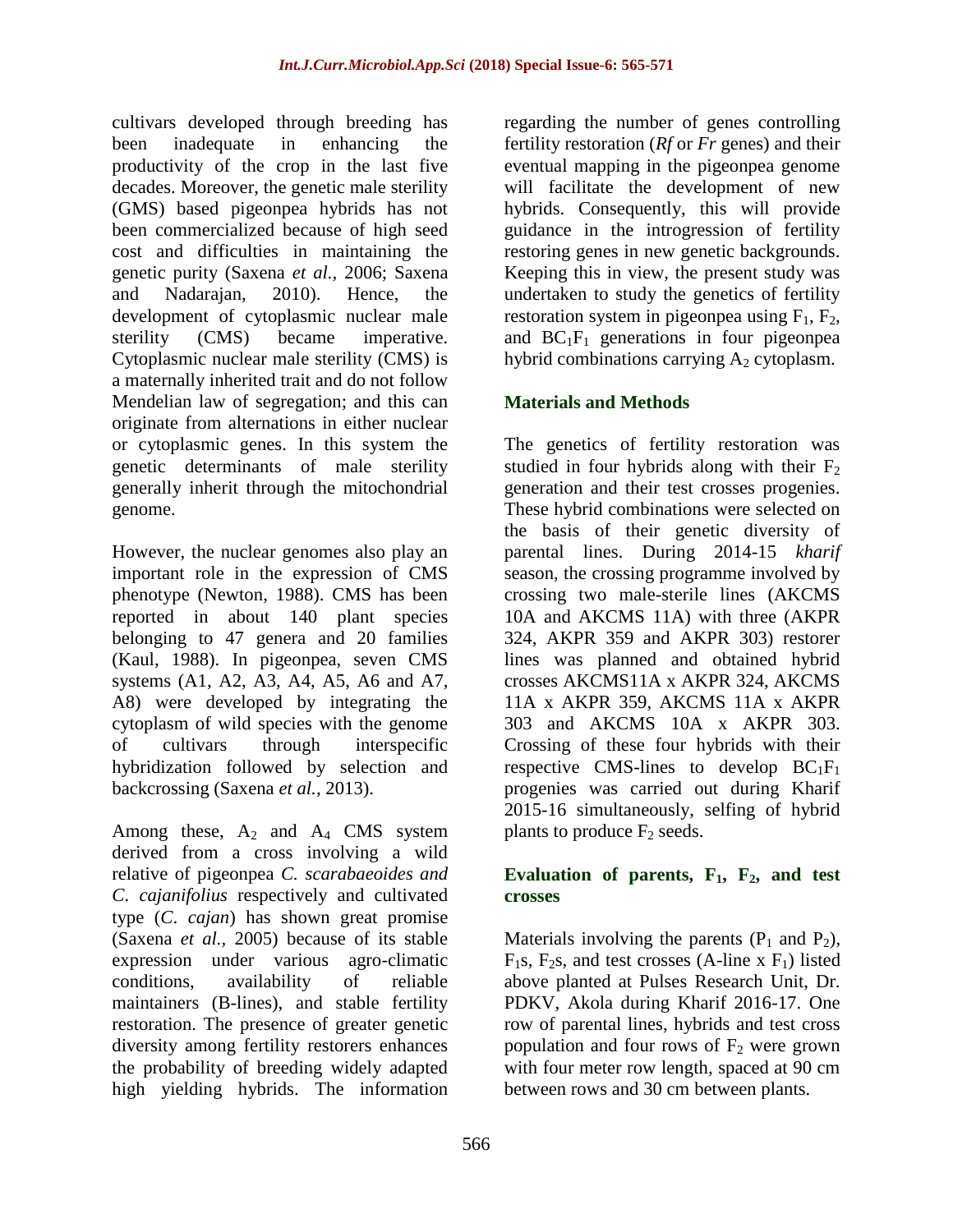cultivars developed through breeding has been inadequate in enhancing the productivity of the crop in the last five decades. Moreover, the genetic male sterility (GMS) based pigeonpea hybrids has not been commercialized because of high seed cost and difficulties in maintaining the genetic purity (Saxena *et al.,* 2006; Saxena and Nadarajan, 2010). Hence, the development of cytoplasmic nuclear male sterility (CMS) became imperative. Cytoplasmic nuclear male sterility (CMS) is a maternally inherited trait and do not follow Mendelian law of segregation; and this can originate from alternations in either nuclear or cytoplasmic genes. In this system the genetic determinants of male sterility generally inherit through the mitochondrial genome.

However, the nuclear genomes also play an important role in the expression of CMS phenotype (Newton, 1988). CMS has been reported in about 140 plant species belonging to 47 genera and 20 families (Kaul, 1988). In pigeonpea, seven CMS systems (A1, A2, A3, A4, A5, A6 and A7, A8) were developed by integrating the cytoplasm of wild species with the genome of cultivars through interspecific hybridization followed by selection and backcrossing (Saxena *et al.,* 2013).

Among these,  $A_2$  and  $A_4$  CMS system derived from a cross involving a wild relative of pigeonpea *C. scarabaeoides and C*. *cajanifolius* respectively and cultivated type (*C*. *cajan*) has shown great promise (Saxena *et al.,* 2005) because of its stable expression under various agro-climatic conditions, availability of reliable maintainers (B-lines), and stable fertility restoration. The presence of greater genetic diversity among fertility restorers enhances the probability of breeding widely adapted high yielding hybrids. The information

regarding the number of genes controlling fertility restoration (*Rf* or *Fr* genes) and their eventual mapping in the pigeonpea genome will facilitate the development of new hybrids. Consequently, this will provide guidance in the introgression of fertility restoring genes in new genetic backgrounds. Keeping this in view, the present study was undertaken to study the genetics of fertility restoration system in pigeonpea using  $F_1$ ,  $F_2$ , and  $BC_1F_1$  generations in four pigeonpea hybrid combinations carrying  $A_2$  cytoplasm.

# **Materials and Methods**

The genetics of fertility restoration was studied in four hybrids along with their  $F_2$ generation and their test crosses progenies. These hybrid combinations were selected on the basis of their genetic diversity of parental lines. During 2014-15 *kharif*  season, the crossing programme involved by crossing two male-sterile lines (AKCMS 10A and AKCMS 11A) with three (AKPR 324, AKPR 359 and AKPR 303) restorer lines was planned and obtained hybrid crosses AKCMS11A x AKPR 324, AKCMS 11A x AKPR 359, AKCMS 11A x AKPR 303 and AKCMS 10A x AKPR 303. Crossing of these four hybrids with their respective CMS-lines to develop  $BC_1F_1$ progenies was carried out during Kharif 2015-16 simultaneously, selfing of hybrid plants to produce  $F_2$  seeds.

## Evaluation of parents,  $F_1$ ,  $F_2$ , and test **crosses**

Materials involving the parents  $(P_1$  and  $P_2$ ),  $F_1$ s,  $F_2$ s, and test crosses (A-line x  $F_1$ ) listed above planted at Pulses Research Unit, Dr. PDKV, Akola during Kharif 2016-17. One row of parental lines, hybrids and test cross population and four rows of  $F_2$  were grown with four meter row length, spaced at 90 cm between rows and 30 cm between plants.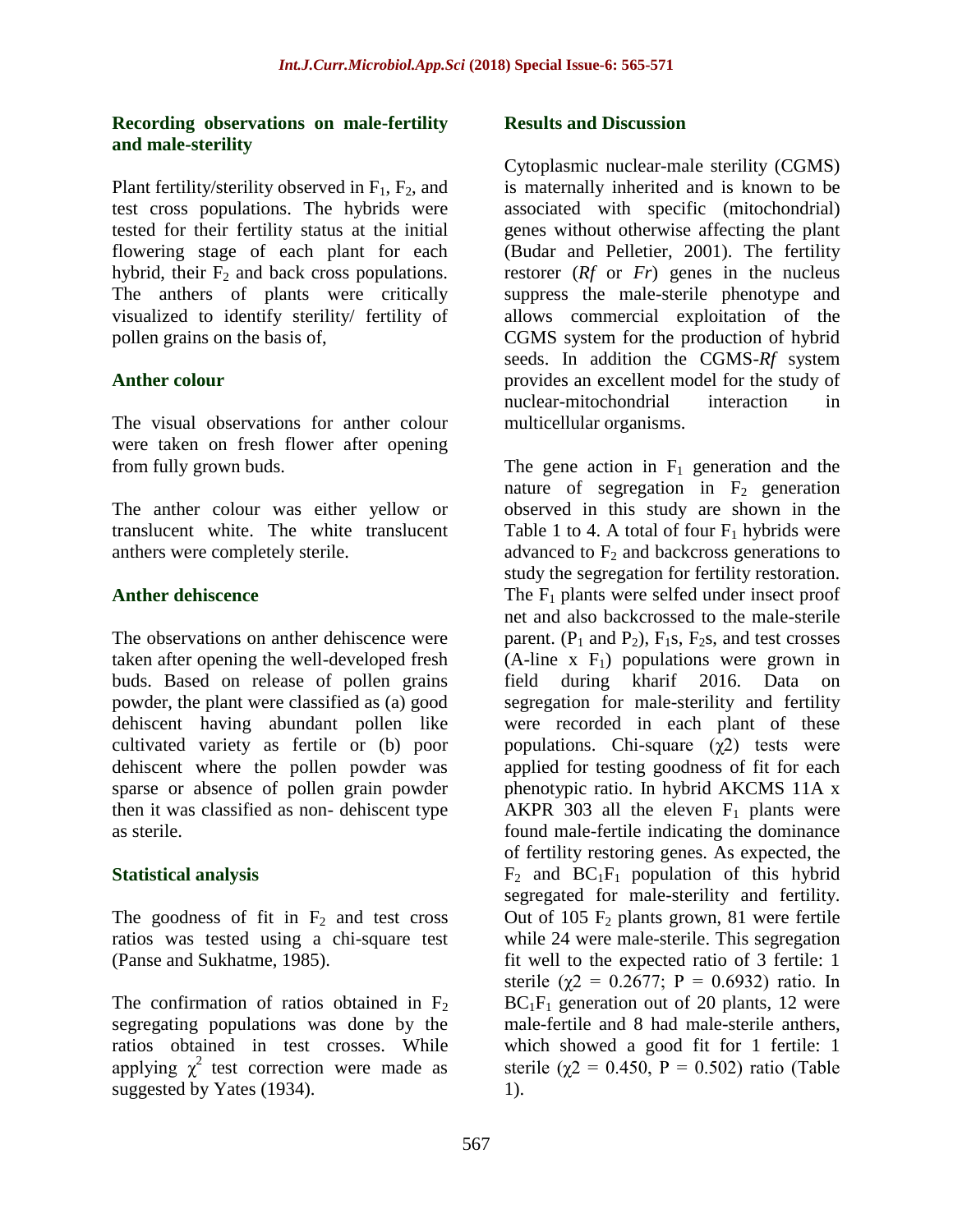#### **Recording observations on male-fertility and male-sterility**

Plant fertility/sterility observed in  $F_1$ ,  $F_2$ , and test cross populations. The hybrids were tested for their fertility status at the initial flowering stage of each plant for each hybrid, their  $F_2$  and back cross populations. The anthers of plants were critically visualized to identify sterility/ fertility of pollen grains on the basis of,

# **Anther colour**

The visual observations for anther colour were taken on fresh flower after opening from fully grown buds.

The anther colour was either yellow or translucent white. The white translucent anthers were completely sterile.

# **Anther dehiscence**

The observations on anther dehiscence were taken after opening the well-developed fresh buds. Based on release of pollen grains powder, the plant were classified as (a) good dehiscent having abundant pollen like cultivated variety as fertile or (b) poor dehiscent where the pollen powder was sparse or absence of pollen grain powder then it was classified as non- dehiscent type as sterile.

# **Statistical analysis**

The goodness of fit in  $F_2$  and test cross ratios was tested using a chi-square test (Panse and Sukhatme, 1985).

The confirmation of ratios obtained in  $F_2$ segregating populations was done by the ratios obtained in test crosses. While applying  $\chi^2$  test correction were made as suggested by Yates (1934).

## **Results and Discussion**

Cytoplasmic nuclear-male sterility (CGMS) is maternally inherited and is known to be associated with specific (mitochondrial) genes without otherwise affecting the plant (Budar and Pelletier, 2001). The fertility restorer (*Rf* or *Fr*) genes in the nucleus suppress the male-sterile phenotype and allows commercial exploitation of the CGMS system for the production of hybrid seeds. In addition the CGMS-*Rf* system provides an excellent model for the study of nuclear-mitochondrial interaction in multicellular organisms.

The gene action in  $F_1$  generation and the nature of segregation in  $F_2$  generation observed in this study are shown in the Table 1 to 4. A total of four  $F_1$  hybrids were advanced to  $F_2$  and backcross generations to study the segregation for fertility restoration. The  $F_1$  plants were selfed under insect proof net and also backcrossed to the male-sterile parent.  $(P_1$  and  $P_2)$ ,  $F_1s$ ,  $F_2s$ , and test crosses  $(A$ -line x  $F_1$ ) populations were grown in field during kharif 2016. Data on segregation for male-sterility and fertility were recorded in each plant of these populations. Chi-square  $(\gamma 2)$  tests were applied for testing goodness of fit for each phenotypic ratio. In hybrid AKCMS 11A x AKPR 303 all the eleven  $F_1$  plants were found male-fertile indicating the dominance of fertility restoring genes. As expected, the  $F_2$  and  $BC_1F_1$  population of this hybrid segregated for male-sterility and fertility. Out of 105  $F_2$  plants grown, 81 were fertile while 24 were male-sterile. This segregation fit well to the expected ratio of 3 fertile: 1 sterile ( $\chi$ 2 = 0.2677; P = 0.6932) ratio. In  $BC_1F_1$  generation out of 20 plants, 12 were male-fertile and 8 had male-sterile anthers, which showed a good fit for 1 fertile: 1 sterile ( $\chi$ 2 = 0.450, P = 0.502) ratio (Table 1).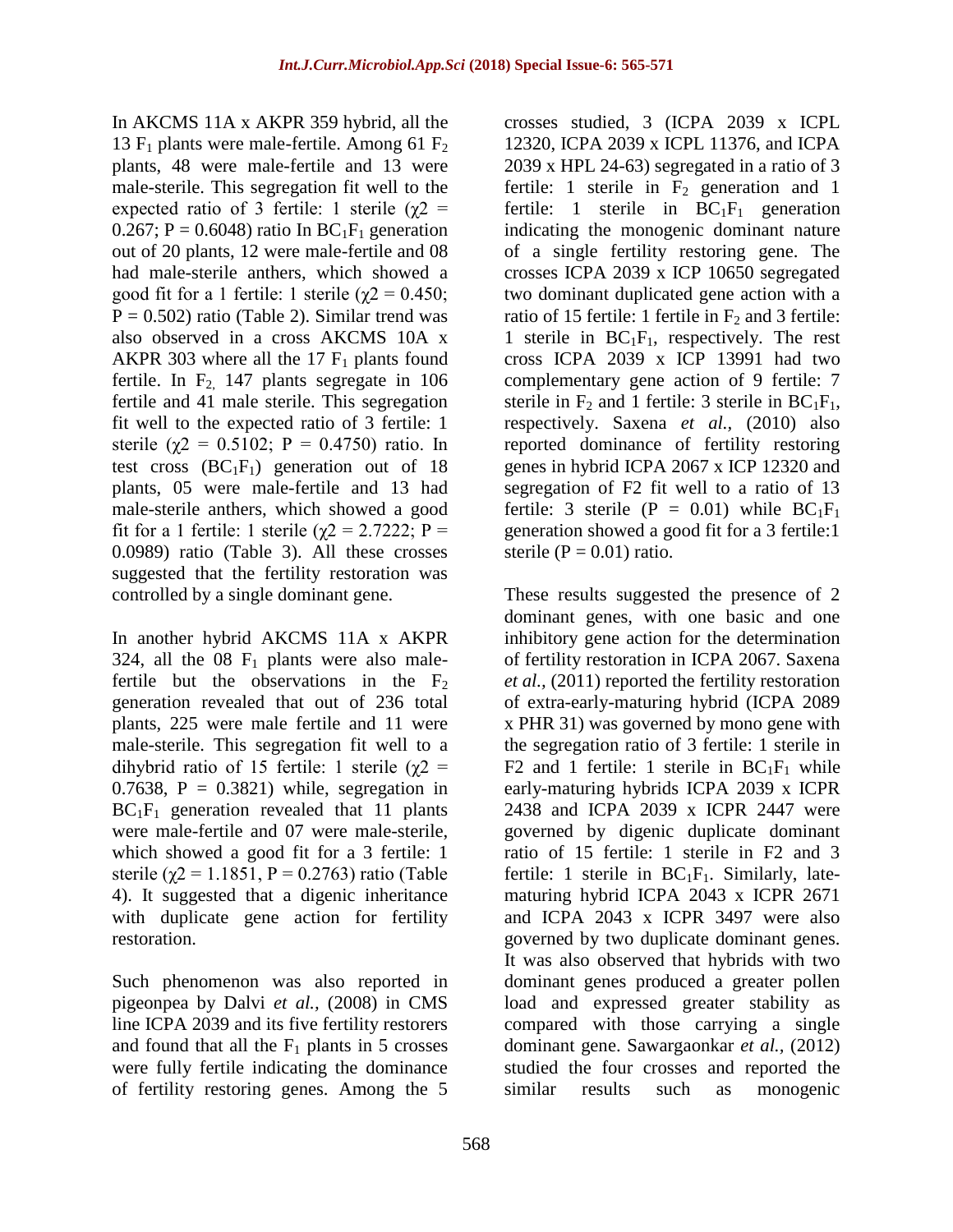In AKCMS 11A x AKPR 359 hybrid, all the 13  $F_1$  plants were male-fertile. Among 61  $F_2$ plants, 48 were male-fertile and 13 were male-sterile. This segregation fit well to the expected ratio of 3 fertile: 1 sterile ( $\gamma$ 2 = 0.267; P = 0.6048) ratio In  $BC_1F_1$  generation out of 20 plants, 12 were male-fertile and 08 had male-sterile anthers, which showed a good fit for a 1 fertile: 1 sterile ( $χ$ 2 = 0.450;  $P = 0.502$ ) ratio (Table 2). Similar trend was also observed in a cross AKCMS 10A x AKPR 303 where all the 17  $F_1$  plants found fertile. In  $F<sub>2</sub>$  147 plants segregate in 106 fertile and 41 male sterile. This segregation fit well to the expected ratio of 3 fertile: 1 sterile ( $\chi$ 2 = 0.5102; P = 0.4750) ratio. In test cross  $(BC_1F_1)$  generation out of 18 plants, 05 were male-fertile and 13 had male-sterile anthers, which showed a good fit for a 1 fertile: 1 sterile ( $χ$ 2 = 2.7222; P = 0.0989) ratio (Table 3). All these crosses suggested that the fertility restoration was controlled by a single dominant gene.

In another hybrid AKCMS 11A x AKPR 324, all the  $08 \text{ F}_1$  plants were also malefertile but the observations in the  $F<sub>2</sub>$ generation revealed that out of 236 total plants, 225 were male fertile and 11 were male-sterile. This segregation fit well to a dihybrid ratio of 15 fertile: 1 sterile ( $χ$ 2 = 0.7638,  $P = 0.3821$ ) while, segregation in  $BC_1F_1$  generation revealed that 11 plants were male-fertile and 07 were male-sterile, which showed a good fit for a 3 fertile: 1 sterile ( $\gamma$ 2 = 1.1851, P = 0.2763) ratio (Table 4). It suggested that a digenic inheritance with duplicate gene action for fertility restoration.

Such phenomenon was also reported in pigeonpea by Dalvi *et al.,* (2008) in CMS line ICPA 2039 and its five fertility restorers and found that all the  $F_1$  plants in 5 crosses were fully fertile indicating the dominance of fertility restoring genes. Among the 5

crosses studied, 3 (ICPA 2039 x ICPL 12320, ICPA 2039 x ICPL 11376, and ICPA 2039 x HPL 24-63) segregated in a ratio of 3 fertile: 1 sterile in  $F_2$  generation and 1 fertile: 1 sterile in  $BC_1F_1$  generation indicating the monogenic dominant nature of a single fertility restoring gene. The crosses ICPA 2039 x ICP 10650 segregated two dominant duplicated gene action with a ratio of 15 fertile: 1 fertile in  $F_2$  and 3 fertile: 1 sterile in  $BC_1F_1$ , respectively. The rest cross ICPA 2039 x ICP 13991 had two complementary gene action of 9 fertile: 7 sterile in  $F_2$  and 1 fertile: 3 sterile in  $BC_1F_1$ , respectively. Saxena *et al.,* (2010) also reported dominance of fertility restoring genes in hybrid ICPA 2067 x ICP 12320 and segregation of F2 fit well to a ratio of 13 fertile: 3 sterile (P = 0.01) while  $BC_1F_1$ generation showed a good fit for a 3 fertile:1 sterile ( $P = 0.01$ ) ratio.

These results suggested the presence of 2 dominant genes, with one basic and one inhibitory gene action for the determination of fertility restoration in ICPA 2067. Saxena *et al.,* (2011) reported the fertility restoration of extra-early-maturing hybrid (ICPA 2089 x PHR 31) was governed by mono gene with the segregation ratio of 3 fertile: 1 sterile in F2 and 1 fertile: 1 sterile in  $BC_1F_1$  while early-maturing hybrids ICPA 2039 x ICPR 2438 and ICPA 2039 x ICPR 2447 were governed by digenic duplicate dominant ratio of 15 fertile: 1 sterile in F2 and 3 fertile: 1 sterile in  $BC_1F_1$ . Similarly, latematuring hybrid ICPA 2043 x ICPR 2671 and ICPA 2043 x ICPR 3497 were also governed by two duplicate dominant genes. It was also observed that hybrids with two dominant genes produced a greater pollen load and expressed greater stability as compared with those carrying a single dominant gene. Sawargaonkar *et al.,* (2012) studied the four crosses and reported the similar results such as monogenic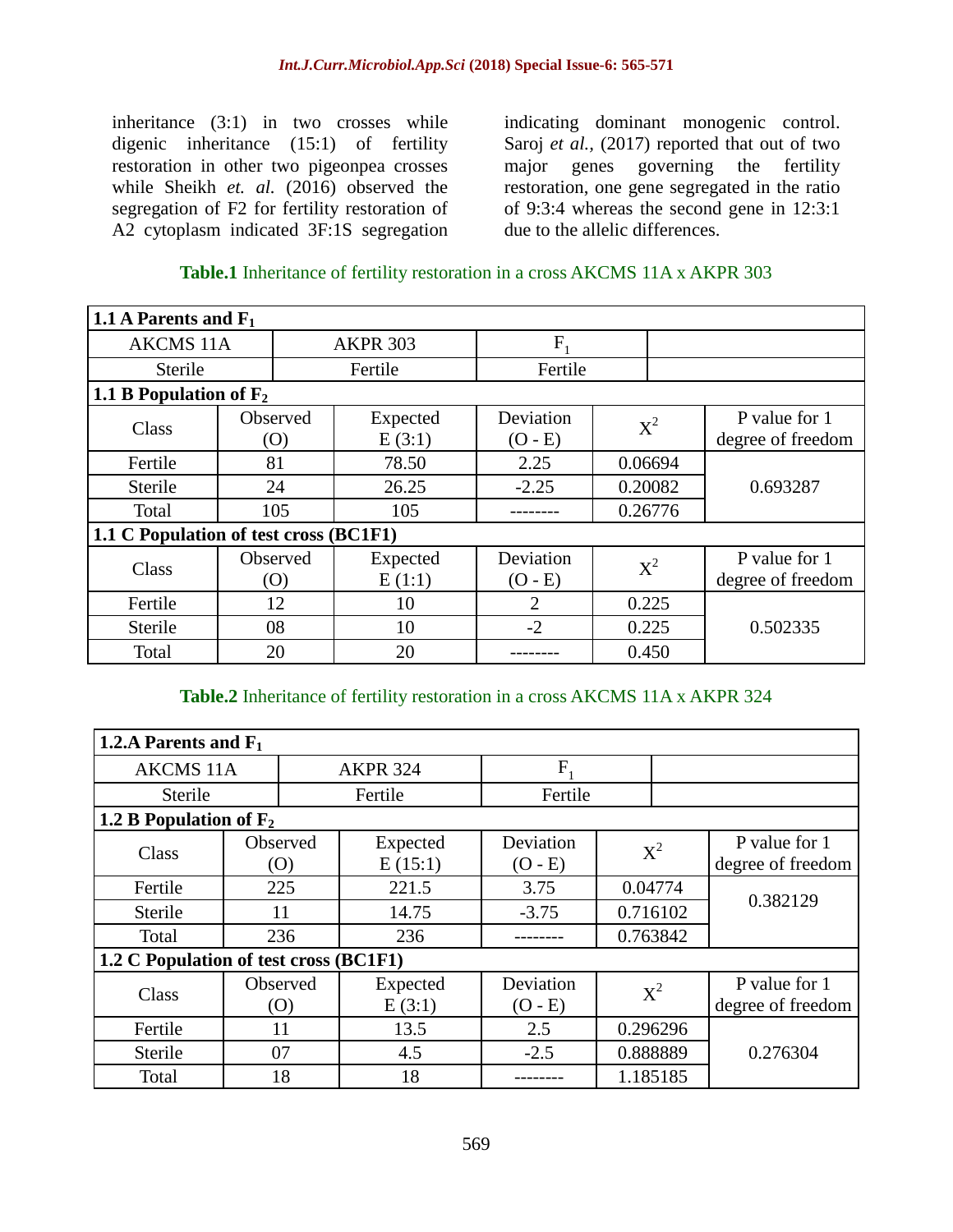inheritance (3:1) in two crosses while digenic inheritance (15:1) of fertility restoration in other two pigeonpea crosses while Sheikh *et. al.* (2016) observed the segregation of F2 for fertility restoration of A2 cytoplasm indicated 3F:1S segregation

indicating dominant monogenic control. Saroj *et al.*, (2017) reported that out of two major genes governing the fertility restoration, one gene segregated in the ratio of 9:3:4 whereas the second gene in 12:3:1 due to the allelic differences.

## **Table.1** Inheritance of fertility restoration in a cross AKCMS 11A x AKPR 303

| 1.1 A Parents and $F_1$                |                        |                 |                    |                        |         |         |                                    |  |
|----------------------------------------|------------------------|-----------------|--------------------|------------------------|---------|---------|------------------------------------|--|
| <b>AKCMS 11A</b>                       |                        | <b>AKPR 303</b> |                    | F                      |         |         |                                    |  |
| Sterile                                |                        | Fertile         |                    | Fertile                |         |         |                                    |  |
| 1.1 B Population of $F_2$              |                        |                 |                    |                        |         |         |                                    |  |
| Class                                  | <b>Observed</b><br>(0) |                 | Expected<br>E(3:1) | Deviation<br>$(O - E)$ | $X^2$   |         | P value for 1<br>degree of freedom |  |
| Fertile                                | 81                     |                 | 78.50              | 2.25                   | 0.06694 |         |                                    |  |
| Sterile                                | 24                     |                 | 26.25              | $-2.25$                |         | 0.20082 | 0.693287                           |  |
| Total                                  | 105                    |                 | 105                |                        | 0.26776 |         |                                    |  |
| 1.1 C Population of test cross (BC1F1) |                        |                 |                    |                        |         |         |                                    |  |
| Class                                  | Observed<br>(0)        |                 | Expected<br>E(1:1) | Deviation<br>$(O - E)$ |         | $X^2$   | P value for 1<br>degree of freedom |  |
| Fertile                                | 12                     |                 | 10                 | 2                      | 0.225   |         |                                    |  |
| Sterile                                | 08                     |                 | 10                 | $-2$                   | 0.225   |         | 0.502335                           |  |
| Total                                  | 20                     |                 | 20                 |                        | 0.450   |         |                                    |  |

## **Table.2** Inheritance of fertility restoration in a cross AKCMS 11A x AKPR 324

| 1.2.A Parents and $F_1$                |                 |                 |                     |                        |                     |          |                                    |  |
|----------------------------------------|-----------------|-----------------|---------------------|------------------------|---------------------|----------|------------------------------------|--|
| <b>AKCMS 11A</b>                       |                 | <b>AKPR 324</b> |                     | F                      |                     |          |                                    |  |
| Sterile                                |                 | Fertile         |                     | Fertile                |                     |          |                                    |  |
| 1.2 B Population of $F_2$              |                 |                 |                     |                        |                     |          |                                    |  |
| Class                                  | Observed<br>(O) |                 | Expected<br>E(15:1) | Deviation<br>$(O - E)$ |                     | $X^2$    | P value for 1<br>degree of freedom |  |
| Fertile                                | 225             |                 | 221.5               | 3.75                   | 0.04774<br>0.716102 |          | 0.382129                           |  |
| Sterile                                | 11              |                 | 14.75               | $-3.75$                |                     |          |                                    |  |
| Total                                  | 236             |                 | 236                 |                        | 0.763842            |          |                                    |  |
| 1.2 C Population of test cross (BC1F1) |                 |                 |                     |                        |                     |          |                                    |  |
| Class                                  | Observed<br>(0) |                 | Expected<br>E(3:1)  | Deviation<br>$(O - E)$ |                     | $X^2$    | P value for 1<br>degree of freedom |  |
| Fertile                                | 11              |                 | 13.5                | 2.5                    |                     | 0.296296 |                                    |  |
| Sterile                                | 07              |                 | 4.5                 | $-2.5$                 |                     | 0.888889 | 0.276304                           |  |
| Total                                  | 18              |                 | 18                  |                        |                     | 1.185185 |                                    |  |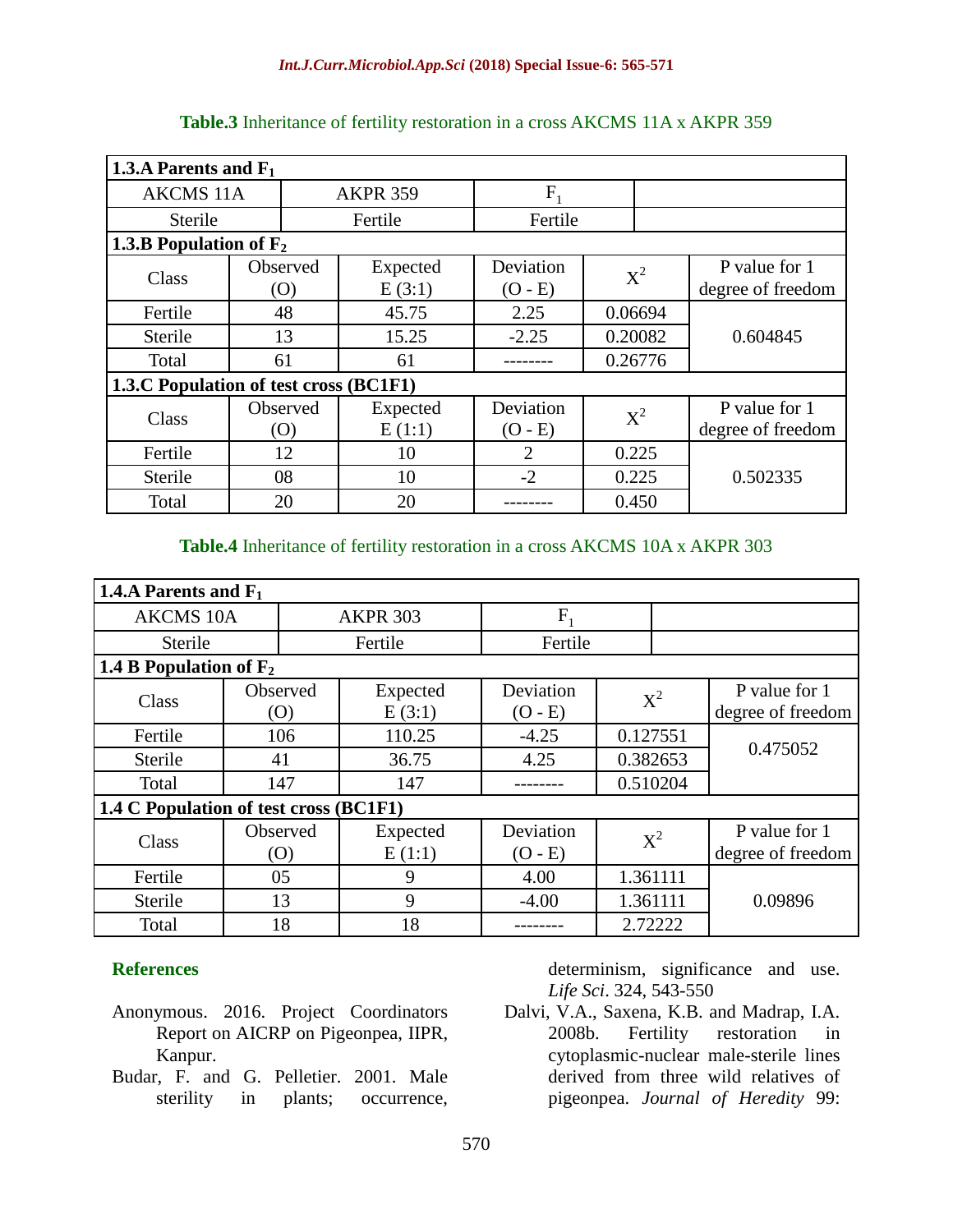| 1.3.A Parents and $F_1$                |                        |                    |                        |         |                                    |  |  |
|----------------------------------------|------------------------|--------------------|------------------------|---------|------------------------------------|--|--|
| <b>AKCMS 11A</b>                       |                        | <b>AKPR 359</b>    | F,                     |         |                                    |  |  |
| <b>Sterile</b>                         |                        | Fertile            | Fertile                |         |                                    |  |  |
| 1.3.B Population of $F_2$              |                        |                    |                        |         |                                    |  |  |
| Class                                  | Observed<br>(O)        | Expected<br>E(3:1) | Deviation<br>$(O - E)$ | $X^2$   | P value for 1<br>degree of freedom |  |  |
| Fertile                                | 48                     | 45.75              | 2.25                   | 0.06694 |                                    |  |  |
| Sterile                                | 13                     | 15.25              | $-2.25$                | 0.20082 | 0.604845                           |  |  |
| Total                                  | 61                     | 61                 |                        | 0.26776 |                                    |  |  |
| 1.3.C Population of test cross (BC1F1) |                        |                    |                        |         |                                    |  |  |
| Class                                  | Observed<br>$\left($ O | Expected<br>E(1:1) | Deviation<br>$(O - E)$ | $X^2$   | P value for 1<br>degree of freedom |  |  |
| Fertile                                | 12                     | 10                 | $\overline{2}$         | 0.225   |                                    |  |  |
| <b>Sterile</b>                         | 08                     | 10                 | $-2$                   | 0.225   | 0.502335                           |  |  |
| Total                                  | 20                     | 20                 |                        | 0.450   |                                    |  |  |

**Table.3** Inheritance of fertility restoration in a cross AKCMS 11A x AKPR 359

#### **Table.4** Inheritance of fertility restoration in a cross AKCMS 10A x AKPR 303

| 1.4.A Parents and $F_1$                |                 |                    |                        |          |                                    |  |  |  |
|----------------------------------------|-----------------|--------------------|------------------------|----------|------------------------------------|--|--|--|
| <b>AKCMS 10A</b>                       |                 | <b>AKPR 303</b>    | F                      |          |                                    |  |  |  |
| Sterile                                |                 | Fertile            | Fertile                |          |                                    |  |  |  |
| 1.4 B Population of $F_2$              |                 |                    |                        |          |                                    |  |  |  |
| Class                                  | Observed<br>(0) | Expected<br>E(3:1) | Deviation<br>$(O - E)$ | $X^2$    | P value for 1<br>degree of freedom |  |  |  |
| Fertile                                | 106             | 110.25             | $-4.25$                | 0.127551 | 0.475052                           |  |  |  |
| Sterile                                | 41              | 36.75              | 4.25                   | 0.382653 |                                    |  |  |  |
| Total                                  | 147             | 147                |                        | 0.510204 |                                    |  |  |  |
| 1.4 C Population of test cross (BC1F1) |                 |                    |                        |          |                                    |  |  |  |
| Class                                  | Observed<br>(O) | Expected<br>E(1:1) | Deviation<br>$(O - E)$ | $X^2$    | P value for 1<br>degree of freedom |  |  |  |
| Fertile                                | 05              | 9                  | 4.00                   | 1.361111 |                                    |  |  |  |
| Sterile                                | 13              | 9                  | $-4.00$                | 1.361111 | 0.09896                            |  |  |  |
| Total                                  | 18              | 18                 |                        | 2.72222  |                                    |  |  |  |

## **References**

- Anonymous. 2016. Project Coordinators Report on AICRP on Pigeonpea, IIPR, Kanpur.
- Budar, F. and G. Pelletier. 2001. Male sterility in plants; occurrence,

determinism, significance and use. *Life Sci*. 324, 543-550

Dalvi, V.A., Saxena, K.B. and Madrap, I.A. 2008b. Fertility restoration in cytoplasmic-nuclear male-sterile lines derived from three wild relatives of pigeonpea. *Journal of Heredity* 99: